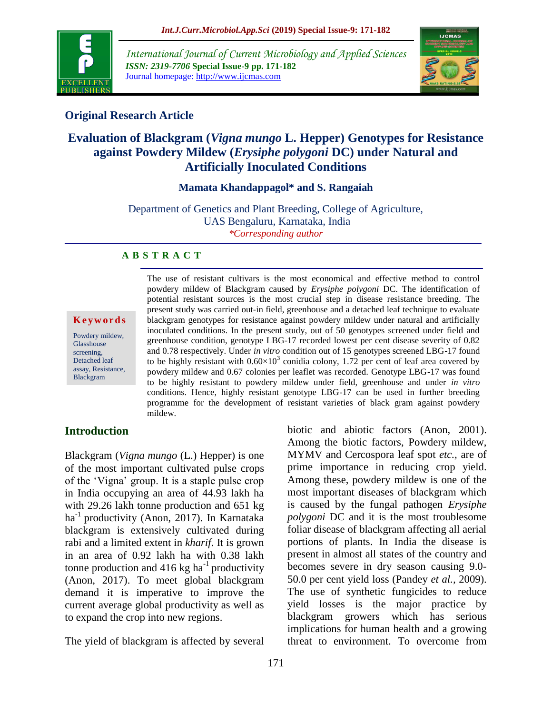

*International Journal of Current Microbiology and Applied Sciences ISSN: 2319-7706* **Special Issue-9 pp. 171-182** Journal homepage: http://www.ijcmas.com



# **Original Research Article**

# **Evaluation of Blackgram (***Vigna mungo* **L. Hepper) Genotypes for Resistance against Powdery Mildew (***Erysiphe polygoni* **DC) under Natural and Artificially Inoculated Conditions**

#### **Mamata Khandappagol\* and S. Rangaiah**

Department of Genetics and Plant Breeding, College of Agriculture, UAS Bengaluru, Karnataka, India *\*Corresponding author*

#### **A B S T R A C T**

#### **K e y w o r d s**

Powdery mildew, Glasshouse screening, Detached leaf assay, Resistance, Blackgram

The use of resistant cultivars is the most economical and effective method to control powdery mildew of Blackgram caused by *Erysiphe polygoni* DC. The identification of potential resistant sources is the most crucial step in disease resistance breeding. The present study was carried out-in field, greenhouse and a detached leaf technique to evaluate blackgram genotypes for resistance against powdery mildew under natural and artificially inoculated conditions. In the present study, out of 50 genotypes screened under field and greenhouse condition, genotype LBG-17 recorded lowest per cent disease severity of 0.82 and 0.78 respectively. Under *in vitro* condition out of 15 genotypes screened LBG-17 found to be highly resistant with  $0.60 \times 10^3$  conidia colony, 1.72 per cent of leaf area covered by powdery mildew and 0.67 colonies per leaflet was recorded. Genotype LBG-17 was found to be highly resistant to powdery mildew under field, greenhouse and under *in vitro* conditions. Hence, highly resistant genotype LBG-17 can be used in further breeding programme for the development of resistant varieties of black gram against powdery mildew.

### **Introduction**

Blackgram (*Vigna mungo* (L.) Hepper) is one of the most important cultivated pulse crops of the 'Vigna' group. It is a staple pulse crop in India occupying an area of 44.93 lakh ha with 29.26 lakh tonne production and 651 kg  $ha^{-1}$  productivity (Anon, 2017). In Karnataka blackgram is extensively cultivated during rabi and a limited extent in *kharif*. It is grown in an area of 0.92 lakh ha with 0.38 lakh tonne production and  $416 \text{ kg}$  ha<sup>-1</sup> productivity (Anon, 2017). To meet global blackgram demand it is imperative to improve the current average global productivity as well as to expand the crop into new regions.

The yield of blackgram is affected by several

biotic and abiotic factors (Anon, 2001). Among the biotic factors, Powdery mildew, MYMV and Cercospora leaf spot *etc.,* are of prime importance in reducing crop yield. Among these, powdery mildew is one of the most important diseases of blackgram which is caused by the fungal pathogen *Erysiphe polygoni* DC and it is the most troublesome foliar disease of blackgram affecting all aerial portions of plants. In India the disease is present in almost all states of the country and becomes severe in dry season causing 9.0- 50.0 per cent yield loss (Pandey *et al.,* 2009). The use of synthetic fungicides to reduce yield losses is the major practice by blackgram growers which has serious implications for human health and a growing threat to environment. To overcome from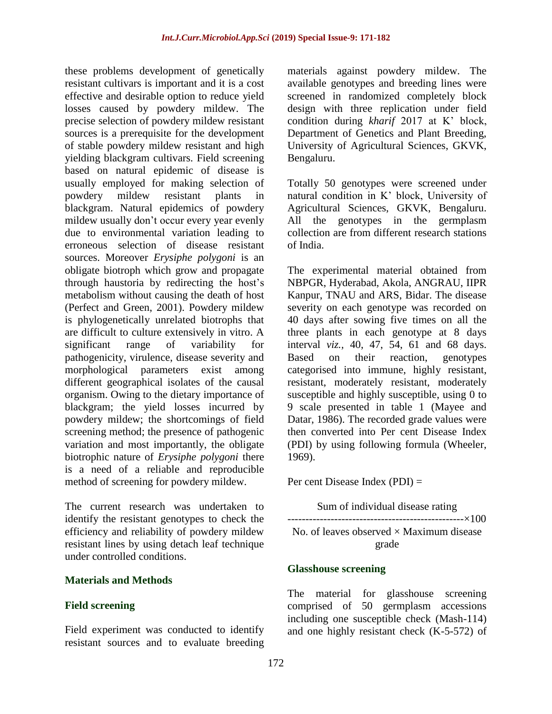these problems development of genetically resistant cultivars is important and it is a cost effective and desirable option to reduce yield losses caused by powdery mildew. The precise selection of powdery mildew resistant sources is a prerequisite for the development of stable powdery mildew resistant and high yielding blackgram cultivars. Field screening based on natural epidemic of disease is usually employed for making selection of powdery mildew resistant plants in blackgram. Natural epidemics of powdery mildew usually don't occur every year evenly due to environmental variation leading to erroneous selection of disease resistant sources. Moreover *Erysiphe polygoni* is an obligate biotroph which grow and propagate through haustoria by redirecting the host's metabolism without causing the death of host (Perfect and Green, 2001). Powdery mildew is phylogenetically unrelated biotrophs that are difficult to culture extensively in vitro. A significant range of variability for pathogenicity, virulence, disease severity and morphological parameters exist among different geographical isolates of the causal organism. Owing to the dietary importance of blackgram; the yield losses incurred by powdery mildew; the shortcomings of field screening method; the presence of pathogenic variation and most importantly, the obligate biotrophic nature of *Erysiphe polygoni* there is a need of a reliable and reproducible method of screening for powdery mildew.

The current research was undertaken to identify the resistant genotypes to check the efficiency and reliability of powdery mildew resistant lines by using detach leaf technique under controlled conditions.

### **Materials and Methods**

### **Field screening**

Field experiment was conducted to identify resistant sources and to evaluate breeding materials against powdery mildew. The available genotypes and breeding lines were screened in randomized completely block design with three replication under field condition during *kharif* 2017 at K' block, Department of Genetics and Plant Breeding, University of Agricultural Sciences, GKVK, Bengaluru.

Totally 50 genotypes were screened under natural condition in K' block, University of Agricultural Sciences, GKVK, Bengaluru. All the genotypes in the germplasm collection are from different research stations of India.

The experimental material obtained from NBPGR, Hyderabad, Akola, ANGRAU, IIPR Kanpur, TNAU and ARS, Bidar. The disease severity on each genotype was recorded on 40 days after sowing five times on all the three plants in each genotype at 8 days interval *viz.,* 40, 47, 54, 61 and 68 days. Based on their reaction, genotypes categorised into immune, highly resistant, resistant, moderately resistant, moderately susceptible and highly susceptible, using 0 to 9 scale presented in table 1 (Mayee and Datar, 1986). The recorded grade values were then converted into Per cent Disease Index (PDI) by using following formula (Wheeler, 1969).

Per cent Disease Index (PDI) =

Sum of individual disease rating -------------------------------------------------×100 No. of leaves observed  $\times$  Maximum disease grade

#### **Glasshouse screening**

The material for glasshouse screening comprised of 50 germplasm accessions including one susceptible check (Mash-114) and one highly resistant check (K-5-572) of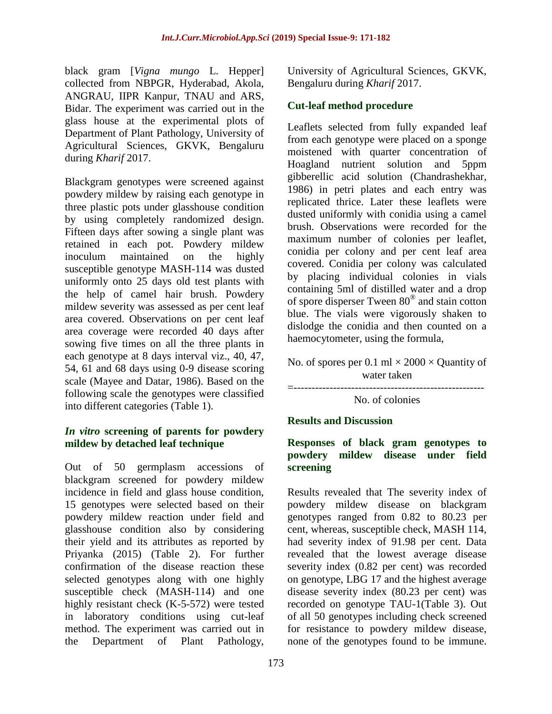black gram [*Vigna mungo* L. Hepper] collected from NBPGR, Hyderabad, Akola, ANGRAU, IIPR Kanpur, TNAU and ARS, Bidar. The experiment was carried out in the glass house at the experimental plots of Department of Plant Pathology, University of Agricultural Sciences, GKVK, Bengaluru during *Kharif* 2017.

Blackgram genotypes were screened against powdery mildew by raising each genotype in three plastic pots under glasshouse condition by using completely randomized design. Fifteen days after sowing a single plant was retained in each pot. Powdery mildew inoculum maintained on the highly susceptible genotype MASH-114 was dusted uniformly onto 25 days old test plants with the help of camel hair brush. Powdery mildew severity was assessed as per cent leaf area covered. Observations on per cent leaf area coverage were recorded 40 days after sowing five times on all the three plants in each genotype at 8 days interval viz., 40, 47, 54, 61 and 68 days using 0-9 disease scoring scale (Mayee and Datar, 1986). Based on the following scale the genotypes were classified into different categories (Table 1).

### *In vitro* **screening of parents for powdery mildew by detached leaf technique**

Out of 50 germplasm accessions of blackgram screened for powdery mildew incidence in field and glass house condition, 15 genotypes were selected based on their powdery mildew reaction under field and glasshouse condition also by considering their yield and its attributes as reported by Priyanka (2015) (Table 2). For further confirmation of the disease reaction these selected genotypes along with one highly susceptible check (MASH-114) and one highly resistant check (K-5-572) were tested in laboratory conditions using cut-leaf method. The experiment was carried out in the Department of Plant Pathology,

University of Agricultural Sciences, GKVK, Bengaluru during *Kharif* 2017.

## **Cut-leaf method procedure**

Leaflets selected from fully expanded leaf from each genotype were placed on a sponge moistened with quarter concentration of Hoagland nutrient solution and 5ppm gibberellic acid solution (Chandrashekhar, 1986) in petri plates and each entry was replicated thrice. Later these leaflets were dusted uniformly with conidia using a camel brush. Observations were recorded for the maximum number of colonies per leaflet, conidia per colony and per cent leaf area covered. Conidia per colony was calculated by placing individual colonies in vials containing 5ml of distilled water and a drop of spore disperser Tween 80® and stain cotton blue. The vials were vigorously shaken to dislodge the conidia and then counted on a haemocytometer, using the formula,

No. of spores per 0.1 ml  $\times$  2000  $\times$  Quantity of water taken

=-----------------------------------------------------

No. of colonies

### **Results and Discussion**

### **Responses of black gram genotypes to powdery mildew disease under field screening**

Results revealed that The severity index of powdery mildew disease on blackgram genotypes ranged from 0.82 to 80.23 per cent, whereas, susceptible check, MASH 114, had severity index of 91.98 per cent. Data revealed that the lowest average disease severity index (0.82 per cent) was recorded on genotype, LBG 17 and the highest average disease severity index (80.23 per cent) was recorded on genotype TAU-1(Table 3). Out of all 50 genotypes including check screened for resistance to powdery mildew disease, none of the genotypes found to be immune.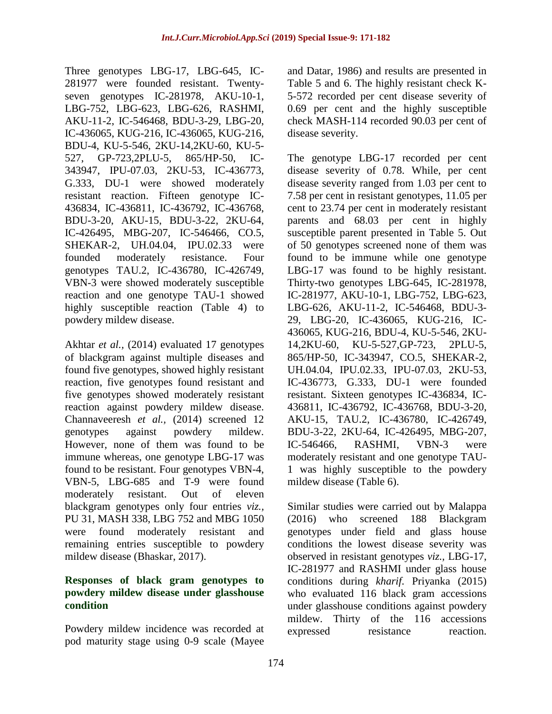Three genotypes LBG-17, LBG-645, IC-281977 were founded resistant. Twentyseven genotypes IC-281978, AKU-10-1, LBG-752, LBG-623, LBG-626, RASHMI, AKU-11-2, IC-546468, BDU-3-29, LBG-20, IC-436065, KUG-216, IC-436065, KUG-216, BDU-4, KU-5-546, 2KU-14,2KU-60, KU-5- 527, GP-723,2PLU-5, 865/HP-50, IC-343947, IPU-07.03, 2KU-53, IC-436773, G.333, DU-1 were showed moderately resistant reaction. Fifteen genotype IC-436834, IC-436811, IC-436792, IC-436768, BDU-3-20, AKU-15, BDU-3-22, 2KU-64, IC-426495, MBG-207, IC-546466, CO.5, SHEKAR-2, UH.04.04, IPU.02.33 were founded moderately resistance. Four genotypes TAU.2, IC-436780, IC-426749, VBN-3 were showed moderately susceptible reaction and one genotype TAU-1 showed highly susceptible reaction (Table 4) to powdery mildew disease.

Akhtar *et al.,* (2014) evaluated 17 genotypes of blackgram against multiple diseases and found five genotypes, showed highly resistant reaction, five genotypes found resistant and five genotypes showed moderately resistant reaction against powdery mildew disease. Channaveeresh *et al.,* (2014) screened 12 genotypes against powdery mildew. However, none of them was found to be immune whereas, one genotype LBG-17 was found to be resistant. Four genotypes VBN-4, VBN-5, LBG-685 and T-9 were found moderately resistant. Out of eleven blackgram genotypes only four entries *viz.,* PU 31, MASH 338, LBG 752 and MBG 1050 were found moderately resistant and remaining entries susceptible to powdery mildew disease (Bhaskar, 2017).

### **Responses of black gram genotypes to powdery mildew disease under glasshouse condition**

Powdery mildew incidence was recorded at pod maturity stage using 0-9 scale (Mayee

and Datar, 1986) and results are presented in Table 5 and 6. The highly resistant check K-5-572 recorded per cent disease severity of 0.69 per cent and the highly susceptible check MASH-114 recorded 90.03 per cent of disease severity.

The genotype LBG-17 recorded per cent disease severity of 0.78. While, per cent disease severity ranged from 1.03 per cent to 7.58 per cent in resistant genotypes, 11.05 per cent to 23.74 per cent in moderately resistant parents and 68.03 per cent in highly susceptible parent presented in Table 5. Out of 50 genotypes screened none of them was found to be immune while one genotype LBG-17 was found to be highly resistant. Thirty-two genotypes LBG-645, IC-281978, IC-281977, AKU-10-1, LBG-752, LBG-623, LBG-626, AKU-11-2, IC-546468, BDU-3- 29, LBG-20, IC-436065, KUG-216, IC-436065, KUG-216, BDU-4, KU-5-546, 2KU-14,2KU-60, KU-5-527,GP-723, 2PLU-5, 865/HP-50, IC-343947, CO.5, SHEKAR-2, UH.04.04, IPU.02.33, IPU-07.03, 2KU-53, IC-436773, G.333, DU-1 were founded resistant. Sixteen genotypes IC-436834, IC-436811, IC-436792, IC-436768, BDU-3-20, AKU-15, TAU.2, IC-436780, IC-426749, BDU-3-22, 2KU-64, IC-426495, MBG-207, IC-546466, RASHMI, VBN-3 were moderately resistant and one genotype TAU-1 was highly susceptible to the powdery mildew disease (Table 6).

Similar studies were carried out by Malappa (2016) who screened 188 Blackgram genotypes under field and glass house conditions the lowest disease severity was observed in resistant genotypes *viz.,* LBG-17, IC-281977 and RASHMI under glass house conditions during *kharif*. Priyanka (2015) who evaluated 116 black gram accessions under glasshouse conditions against powdery mildew. Thirty of the 116 accessions expressed resistance reaction.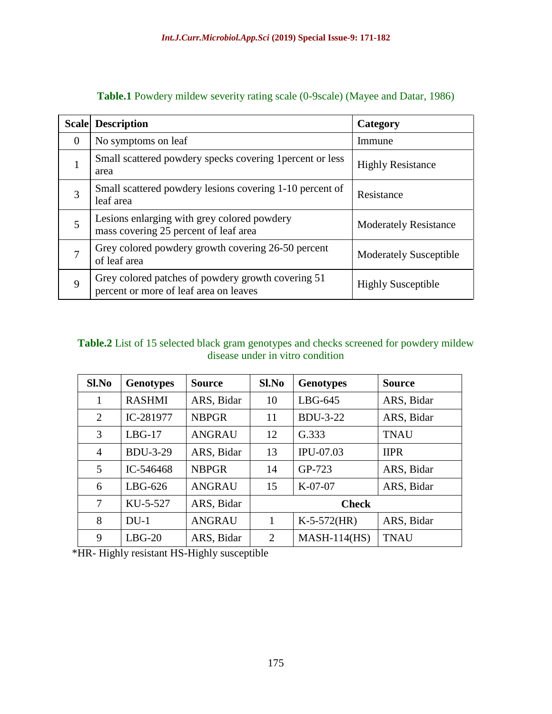|              | <b>Scale</b> Description                                                                     | Category                      |
|--------------|----------------------------------------------------------------------------------------------|-------------------------------|
| $\mathbf{0}$ | No symptoms on leaf                                                                          | Immune                        |
| $\mathbf{1}$ | Small scattered powdery specks covering 1 percent or less<br>area                            | <b>Highly Resistance</b>      |
| 3            | Small scattered powdery lesions covering 1-10 percent of<br>leaf area                        | Resistance                    |
| 5            | Lesions enlarging with grey colored powdery<br>mass covering 25 percent of leaf area         | Moderately Resistance         |
| 7            | Grey colored powdery growth covering 26-50 percent<br>of leaf area                           | <b>Moderately Susceptible</b> |
| 9            | Grey colored patches of powdery growth covering 51<br>percent or more of leaf area on leaves | <b>Highly Susceptible</b>     |

**Table.1** Powdery mildew severity rating scale (0-9scale) (Mayee and Datar, 1986)

### **Table.2** List of 15 selected black gram genotypes and checks screened for powdery mildew disease under in vitro condition

| Sl.No          | <b>Genotypes</b> | <b>Source</b> | Sl.No        | <b>Genotypes</b> | <b>Source</b> |
|----------------|------------------|---------------|--------------|------------------|---------------|
| 1              | <b>RASHMI</b>    | ARS, Bidar    | 10           | $LBG-645$        | ARS, Bidar    |
| 2              | IC-281977        | <b>NBPGR</b>  | 11           | <b>BDU-3-22</b>  | ARS, Bidar    |
| 3              | $LBG-17$         | <b>ANGRAU</b> | 12           | G.333            | <b>TNAU</b>   |
| $\overline{4}$ | <b>BDU-3-29</b>  | ARS, Bidar    | 13           | IPU-07.03        | <b>IIPR</b>   |
| 5              | IC-546468        | <b>NBPGR</b>  | 14           | GP-723           | ARS, Bidar    |
| 6              | $LBG-626$        | <b>ANGRAU</b> | 15           | $K-07-07$        | ARS, Bidar    |
| 7              | KU-5-527         | ARS, Bidar    | <b>Check</b> |                  |               |
| 8              | $DU-1$           | <b>ANGRAU</b> | 1            | $K-5-572$ (HR)   | ARS, Bidar    |
| 9              | $LBG-20$         | ARS, Bidar    | 2            | $MASH-114(HS)$   | <b>TNAU</b>   |

\*HR- Highly resistant HS-Highly susceptible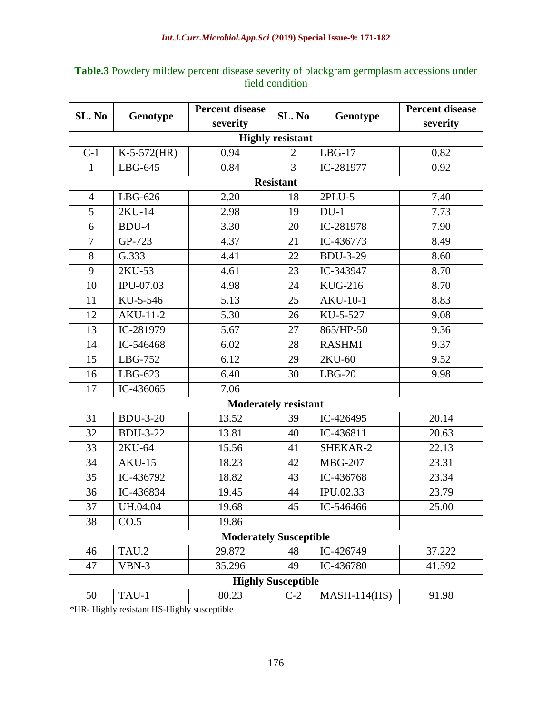| SL. No                        | Genotype        | <b>Percent disease</b>      | SL. No                    | Genotype        | <b>Percent disease</b> |
|-------------------------------|-----------------|-----------------------------|---------------------------|-----------------|------------------------|
|                               |                 | severity                    |                           |                 | severity               |
|                               |                 |                             | <b>Highly resistant</b>   |                 |                        |
| $C-1$                         | $K-5-572(HR)$   | 0.94                        | $\overline{2}$            | $LBG-17$        | 0.82                   |
| $\mathbf{1}$                  | $LBG-645$       | 0.84                        | 3                         | IC-281977       | 0.92                   |
|                               |                 |                             | <b>Resistant</b>          |                 |                        |
| $\overline{4}$                | $LBG-626$       | 2.20                        | 18                        | 2PLU-5          | 7.40                   |
| 5                             | 2KU-14          | 2.98                        | 19                        | $DU-1$          | 7.73                   |
| 6                             | BDU-4           | 3.30                        | 20                        | IC-281978       | 7.90                   |
| $\overline{7}$                | GP-723          | 4.37                        | 21                        | IC-436773       | 8.49                   |
| 8                             | G.333           | 4.41                        | 22                        | <b>BDU-3-29</b> | 8.60                   |
| 9                             | 2KU-53          | 4.61                        | 23                        | IC-343947       | 8.70                   |
| 10                            | IPU-07.03       | 4.98                        | 24                        | <b>KUG-216</b>  | 8.70                   |
| 11                            | KU-5-546        | 5.13                        | 25                        | <b>AKU-10-1</b> | 8.83                   |
| 12                            | $AKU-11-2$      | 5.30                        | 26                        | KU-5-527        | 9.08                   |
| 13                            | IC-281979       | 5.67                        | 27                        | 865/HP-50       | 9.36                   |
| 14                            | IC-546468       | 6.02                        | 28                        | <b>RASHMI</b>   | 9.37                   |
| 15                            | LBG-752         | 6.12                        | 29                        | 2KU-60          | 9.52                   |
| 16                            | $LBG-623$       | 6.40                        | 30                        | $LBG-20$        | 9.98                   |
| 17                            | IC-436065       | 7.06                        |                           |                 |                        |
|                               |                 | <b>Moderately resistant</b> |                           |                 |                        |
| 31                            | <b>BDU-3-20</b> | 13.52                       | 39                        | IC-426495       | 20.14                  |
| 32                            | <b>BDU-3-22</b> | 13.81                       | 40                        | IC-436811       | 20.63                  |
| 33                            | 2KU-64          | 15.56                       | 41                        | SHEKAR-2        | 22.13                  |
| 34                            | $AKU-15$        | 18.23                       | 42                        | <b>MBG-207</b>  | 23.31                  |
| 35                            | IC-436792       | 18.82                       | 43                        | IC-436768       | 23.34                  |
| 36                            | IC-436834       | 19.45                       | 44                        | IPU.02.33       | 23.79                  |
| 37                            | UH.04.04        | 19.68                       | 45                        | IC-546466       | 25.00                  |
| 38                            | CO.5            | 19.86                       |                           |                 |                        |
| <b>Moderately Susceptible</b> |                 |                             |                           |                 |                        |
| 46                            | TAU.2           | 29.872                      | 48                        | IC-426749       | 37.222                 |
| 47                            | VBN-3           | 35.296                      | 49                        | IC-436780       | 41.592                 |
|                               |                 |                             | <b>Highly Susceptible</b> |                 |                        |
| 50                            | TAU-1           | 80.23                       | $C-2$                     | $MASH-114(HS)$  | 91.98                  |

# **Table.3** Powdery mildew percent disease severity of blackgram germplasm accessions under field condition

\*HR- Highly resistant HS-Highly susceptible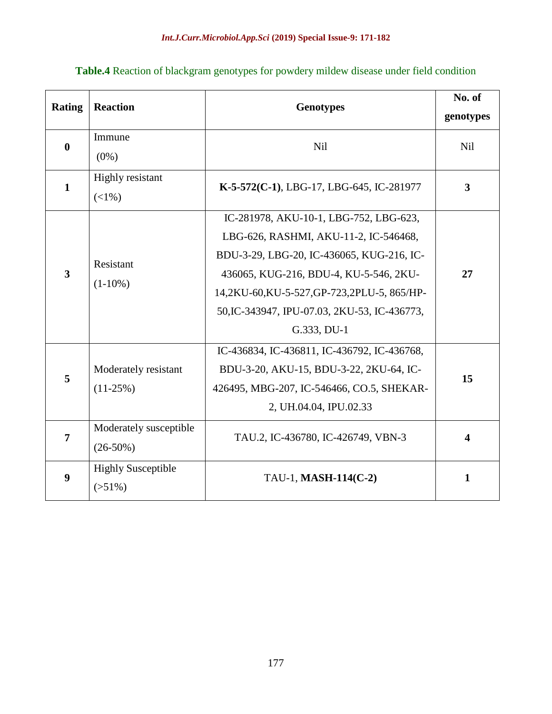| Table.4 Reaction of blackgram genotypes for powdery mildew disease under field condition |  |  |
|------------------------------------------------------------------------------------------|--|--|
|------------------------------------------------------------------------------------------|--|--|

| <b>Rating</b> | <b>Reaction</b>                       | <b>Genotypes</b>                                                                                                                                                                                                                                                                   | No. of<br>genotypes |
|---------------|---------------------------------------|------------------------------------------------------------------------------------------------------------------------------------------------------------------------------------------------------------------------------------------------------------------------------------|---------------------|
| $\bf{0}$      | Immune<br>$(0\%)$                     | <b>Nil</b>                                                                                                                                                                                                                                                                         | Nil                 |
| $\mathbf{1}$  | <b>Highly resistant</b><br>$(<1%$ )   | K-5-572(C-1), LBG-17, LBG-645, IC-281977                                                                                                                                                                                                                                           | $\mathbf{3}$        |
| 3             | Resistant<br>$(1-10\%)$               | IC-281978, AKU-10-1, LBG-752, LBG-623,<br>LBG-626, RASHMI, AKU-11-2, IC-546468,<br>BDU-3-29, LBG-20, IC-436065, KUG-216, IC-<br>436065, KUG-216, BDU-4, KU-5-546, 2KU-<br>14,2KU-60,KU-5-527,GP-723,2PLU-5, 865/HP-<br>50, IC-343947, IPU-07.03, 2KU-53, IC-436773,<br>G.333, DU-1 | 27                  |
| 5             | Moderately resistant<br>$(11-25%)$    | IC-436834, IC-436811, IC-436792, IC-436768,<br>BDU-3-20, AKU-15, BDU-3-22, 2KU-64, IC-<br>426495, MBG-207, IC-546466, CO.5, SHEKAR-<br>2, UH.04.04, IPU.02.33                                                                                                                      | 15                  |
| 7             | Moderately susceptible<br>$(26-50%)$  | TAU.2, IC-436780, IC-426749, VBN-3                                                                                                                                                                                                                                                 | 4                   |
| 9             | <b>Highly Susceptible</b><br>$(51\%)$ | TAU-1, MASH-114(C-2)                                                                                                                                                                                                                                                               | $\mathbf{1}$        |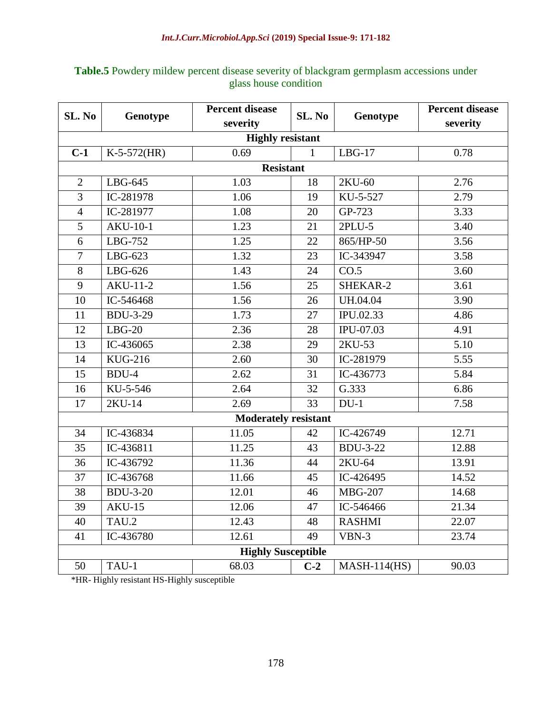| SL. No         | Genotype        | <b>Percent disease</b>      | SL. No          | Genotype        | <b>Percent disease</b> |
|----------------|-----------------|-----------------------------|-----------------|-----------------|------------------------|
|                |                 | severity                    |                 |                 | severity               |
|                |                 | <b>Highly resistant</b>     |                 |                 |                        |
| $C-1$          | $K-5-572(HR)$   | 0.69                        | $\mathbf{1}$    | $LBG-17$        | 0.78                   |
|                |                 | <b>Resistant</b>            |                 |                 |                        |
| $\overline{2}$ | LBG-645         | 1.03                        | 18              | 2KU-60          | 2.76                   |
| $\overline{3}$ | IC-281978       | 1.06                        | 19              | KU-5-527        | 2.79                   |
| $\overline{4}$ | IC-281977       | 1.08                        | 20              | GP-723          | 3.33                   |
| 5              | <b>AKU-10-1</b> | 1.23                        | 21              | 2PLU-5          | 3.40                   |
| 6              | LBG-752         | 1.25                        | 22              | 865/HP-50       | 3.56                   |
| $\overline{7}$ | LBG-623         | 1.32                        | 23              | IC-343947       | 3.58                   |
| 8              | $LBG-626$       | 1.43                        | 24              | CO.5            | 3.60                   |
| $\overline{9}$ | <b>AKU-11-2</b> | 1.56                        | $\overline{25}$ | SHEKAR-2        | $\overline{3.61}$      |
| 10             | IC-546468       | 1.56                        | 26              | UH.04.04        | 3.90                   |
| 11             | <b>BDU-3-29</b> | 1.73                        | 27              | IPU.02.33       | 4.86                   |
| 12             | $LBG-20$        | 2.36                        | 28              | $IPU-07.03$     | 4.91                   |
| 13             | IC-436065       | 2.38                        | 29              | 2KU-53          | 5.10                   |
| 14             | <b>KUG-216</b>  | 2.60                        | 30              | IC-281979       | 5.55                   |
| 15             | BDU-4           | 2.62                        | 31              | IC-436773       | 5.84                   |
| 16             | KU-5-546        | 2.64                        | 32              | G.333           | 6.86                   |
| 17             | 2KU-14          | 2.69                        | 33              | $DU-1$          | 7.58                   |
|                |                 | <b>Moderately resistant</b> |                 |                 |                        |
| 34             | IC-436834       | 11.05                       | 42              | IC-426749       | 12.71                  |
| 35             | IC-436811       | 11.25                       | 43              | <b>BDU-3-22</b> | 12.88                  |
| 36             | IC-436792       | 11.36                       | 44              | 2KU-64          | 13.91                  |
| 37             | IC-436768       | 11.66                       | 45              | IC-426495       | 14.52                  |
| 38             | <b>BDU-3-20</b> | 12.01                       | 46              | <b>MBG-207</b>  | 14.68                  |
| 39             | <b>AKU-15</b>   | 12.06                       | 47              | IC-546466       | 21.34                  |
| 40             | TAU.2           | 12.43                       | 48              | <b>RASHMI</b>   | 22.07                  |
| 41             | IC-436780       | 12.61                       | 49              | VBN-3           | 23.74                  |
|                |                 | <b>Highly Susceptible</b>   |                 |                 |                        |
| 50             | TAU-1           | 68.03                       | $C-2$           | $MASH-114(HS)$  | 90.03                  |

# **Table.5** Powdery mildew percent disease severity of blackgram germplasm accessions under glass house condition

\*HR- Highly resistant HS-Highly susceptible

 $\mathbf{r}$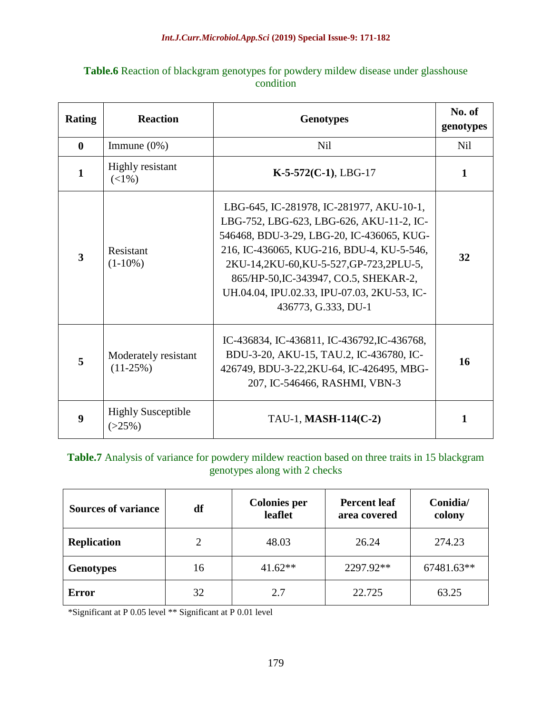| <b>Table.6</b> Reaction of blackgram genotypes for powdery mildew disease under glasshouse |           |  |
|--------------------------------------------------------------------------------------------|-----------|--|
|                                                                                            | condition |  |

| <b>Rating</b> | <b>Reaction</b>                        | <b>Genotypes</b>                                                                                                                                                                                                                                                                                                                       | No. of<br>genotypes |
|---------------|----------------------------------------|----------------------------------------------------------------------------------------------------------------------------------------------------------------------------------------------------------------------------------------------------------------------------------------------------------------------------------------|---------------------|
| $\mathbf{0}$  | Immune $(0\%)$                         | <b>Nil</b>                                                                                                                                                                                                                                                                                                                             | <b>Nil</b>          |
| $\mathbf{1}$  | Highly resistant<br>$(<1%$ )           | $K-5-572(C-1)$ , LBG-17                                                                                                                                                                                                                                                                                                                | 1                   |
| 3             | Resistant<br>$(1-10\%)$                | LBG-645, IC-281978, IC-281977, AKU-10-1,<br>LBG-752, LBG-623, LBG-626, AKU-11-2, IC-<br>546468, BDU-3-29, LBG-20, IC-436065, KUG-<br>216, IC-436065, KUG-216, BDU-4, KU-5-546,<br>2KU-14,2KU-60,KU-5-527,GP-723,2PLU-5,<br>865/HP-50, IC-343947, CO.5, SHEKAR-2,<br>UH.04.04, IPU.02.33, IPU-07.03, 2KU-53, IC-<br>436773, G.333, DU-1 | 32                  |
| 5             | Moderately resistant<br>$(11-25%)$     | IC-436834, IC-436811, IC-436792, IC-436768,<br>BDU-3-20, AKU-15, TAU.2, IC-436780, IC-<br>426749, BDU-3-22,2KU-64, IC-426495, MBG-<br>207, IC-546466, RASHMI, VBN-3                                                                                                                                                                    | 16                  |
| 9             | <b>Highly Susceptible</b><br>$(>25\%)$ | TAU-1, MASH-114(C-2)                                                                                                                                                                                                                                                                                                                   | 1                   |

### **Table.7** Analysis of variance for powdery mildew reaction based on three traits in 15 blackgram genotypes along with 2 checks

| <b>Sources of variance</b> | df             | <b>Colonies per</b><br>leaflet | <b>Percent leaf</b><br>area covered | Conidia/<br>colony |
|----------------------------|----------------|--------------------------------|-------------------------------------|--------------------|
| <b>Replication</b>         | $\overline{2}$ | 48.03                          | 26.24                               | 274.23             |
| <b>Genotypes</b>           | 16             | $41.62**$                      | 2297.92**                           | 67481.63**         |
| <b>Error</b>               | 32             | 2.7                            | 22.725                              | 63.25              |

\*Significant at P 0.05 level \*\* Significant at P 0.01 level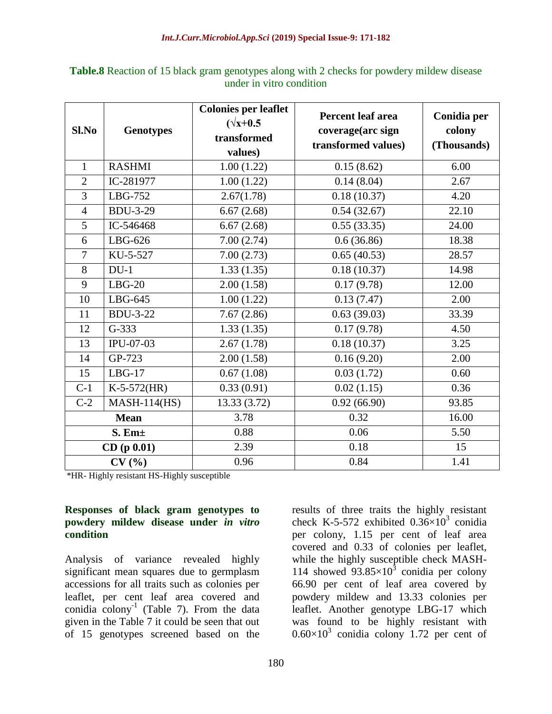| Sl.No          | <b>Genotypes</b> | <b>Colonies per leaflet</b><br>$(\sqrt{x}+0.5)$<br>transformed<br>values) | <b>Percent leaf area</b><br>coverage(arc sign<br>transformed values) | Conidia per<br>colony<br>(Thousands) |
|----------------|------------------|---------------------------------------------------------------------------|----------------------------------------------------------------------|--------------------------------------|
| $\mathbf{1}$   | <b>RASHMI</b>    | 1.00(1.22)                                                                | 0.15(8.62)                                                           | 6.00                                 |
| $\overline{2}$ | IC-281977        | 1.00(1.22)                                                                | 0.14(8.04)                                                           | 2.67                                 |
| $\overline{3}$ | LBG-752          | 2.67(1.78)                                                                | 0.18(10.37)                                                          | 4.20                                 |
| $\overline{4}$ | <b>BDU-3-29</b>  | 6.67(2.68)                                                                | 0.54(32.67)                                                          | 22.10                                |
| 5              | IC-546468        | 6.67(2.68)                                                                | 0.55(33.35)                                                          | 24.00                                |
| 6              | LBG-626          | 7.00(2.74)                                                                | 0.6(36.86)                                                           | 18.38                                |
| $\overline{7}$ | KU-5-527         | 7.00(2.73)                                                                | 0.65(40.53)                                                          | 28.57                                |
| 8              | $DU-1$           | 1.33(1.35)                                                                | 0.18(10.37)                                                          | 14.98                                |
| 9              | $LBG-20$         | 2.00(1.58)                                                                | 0.17(9.78)                                                           | 12.00                                |
| 10             | $LBG-645$        | 1.00(1.22)                                                                | 0.13(7.47)                                                           | 2.00                                 |
| 11             | <b>BDU-3-22</b>  | 7.67(2.86)                                                                | 0.63(39.03)                                                          | 33.39                                |
| 12             | $G-333$          | 1.33(1.35)                                                                | 0.17(9.78)                                                           | 4.50                                 |
| 13             | IPU-07-03        | 2.67(1.78)                                                                | 0.18(10.37)                                                          | 3.25                                 |
| 14             | GP-723           | 2.00(1.58)                                                                | 0.16(9.20)                                                           | 2.00                                 |
| 15             | $LBG-17$         | 0.67(1.08)                                                                | 0.03(1.72)                                                           | 0.60                                 |
| $C-1$          | $K-5-572(HR)$    | 0.33(0.91)                                                                | 0.02(1.15)                                                           | 0.36                                 |
| $C-2$          | $MASH-114(HS)$   | 13.33 (3.72)                                                              | 0.92(66.90)                                                          | 93.85                                |
| <b>Mean</b>    |                  | 3.78                                                                      | 0.32                                                                 | 16.00                                |
|                | $S.$ Em $\pm$    | 0.88                                                                      | 0.06                                                                 | 5.50                                 |
|                | CD (p 0.01)      | 2.39                                                                      | 0.18                                                                 | 15                                   |
| CV(%)          |                  | 0.96                                                                      | 0.84                                                                 | 1.41                                 |

**Table.8** Reaction of 15 black gram genotypes along with 2 checks for powdery mildew disease under in vitro condition

\*HR- Highly resistant HS-Highly susceptible

#### **Responses of black gram genotypes to powdery mildew disease under** *in vitro* **condition**

Analysis of variance revealed highly significant mean squares due to germplasm accessions for all traits such as colonies per leaflet, per cent leaf area covered and conidia  $\text{colony}^{-1}$  (Table 7). From the data given in the Table 7 it could be seen that out of 15 genotypes screened based on the

results of three traits the highly resistant check K-5-572 exhibited  $0.36 \times 10^3$  conidia per colony, 1.15 per cent of leaf area covered and 0.33 of colonies per leaflet, while the highly susceptible check MASH-114 showed  $93.85 \times 10^3$  conidia per colony 66.90 per cent of leaf area covered by powdery mildew and 13.33 colonies per leaflet. Another genotype LBG-17 which was found to be highly resistant with  $0.60\times10^3$  conidia colony 1.72 per cent of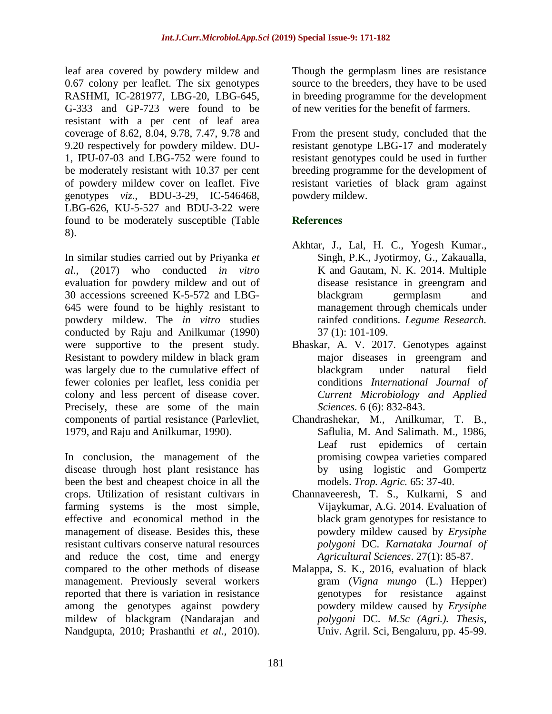leaf area covered by powdery mildew and 0.67 colony per leaflet. The six genotypes RASHMI, IC-281977, LBG-20, LBG-645, G-333 and GP-723 were found to be resistant with a per cent of leaf area coverage of 8.62, 8.04, 9.78, 7.47, 9.78 and 9.20 respectively for powdery mildew. DU-1, IPU-07-03 and LBG-752 were found to be moderately resistant with 10.37 per cent of powdery mildew cover on leaflet. Five genotypes *viz*., BDU-3-29, IC-546468, LBG-626, KU-5-527 and BDU-3-22 were found to be moderately susceptible (Table 8).

In similar studies carried out by Priyanka *et al.,* (2017) who conducted *in vitro* evaluation for powdery mildew and out of 30 accessions screened K-5-572 and LBG-645 were found to be highly resistant to powdery mildew. The *in vitro* studies conducted by Raju and Anilkumar (1990) were supportive to the present study. Resistant to powdery mildew in black gram was largely due to the cumulative effect of fewer colonies per leaflet, less conidia per colony and less percent of disease cover. Precisely, these are some of the main components of partial resistance (Parlevliet, 1979, and Raju and Anilkumar, 1990).

In conclusion, the management of the disease through host plant resistance has been the best and cheapest choice in all the crops. Utilization of resistant cultivars in farming systems is the most simple, effective and economical method in the management of disease. Besides this, these resistant cultivars conserve natural resources and reduce the cost, time and energy compared to the other methods of disease management. Previously several workers reported that there is variation in resistance among the genotypes against powdery mildew of blackgram (Nandarajan and Nandgupta, 2010; Prashanthi *et al.,* 2010).

Though the germplasm lines are resistance source to the breeders, they have to be used in breeding programme for the development of new verities for the benefit of farmers.

From the present study, concluded that the resistant genotype LBG-17 and moderately resistant genotypes could be used in further breeding programme for the development of resistant varieties of black gram against powdery mildew.

# **References**

- Akhtar, J., Lal, H. C., Yogesh Kumar., Singh, P.K., Jyotirmoy, G., Zakaualla, K and Gautam, N. K. 2014. Multiple disease resistance in greengram and blackgram germplasm and management through chemicals under rainfed conditions. *Legume Research.* 37 (1): 101-109.
- Bhaskar, A. V. 2017. Genotypes against major diseases in greengram and blackgram under natural field conditions *International Journal of Current Microbiology and Applied Sciences.* 6 (6): 832-843.
- Chandrashekar, M., Anilkumar, T. B., Saflulia, M. And Salimath. M., 1986, Leaf rust epidemics of certain promising cowpea varieties compared by using logistic and Gompertz models. *Trop. Agric.* 65: 37-40.
- Channaveeresh, T. S., Kulkarni, S and Vijaykumar, A.G. 2014. Evaluation of black gram genotypes for resistance to powdery mildew caused by *Erysiphe polygoni* DC. *Karnataka Journal of Agricultural Sciences*. 27(1): 85-87.
- Malappa, S. K., 2016, evaluation of black gram (*Vigna mungo* (L.) Hepper) genotypes for resistance against powdery mildew caused by *Erysiphe polygoni* DC. *M.Sc (Agri.). Thesis*, Univ. Agril. Sci, Bengaluru, pp. 45-99.